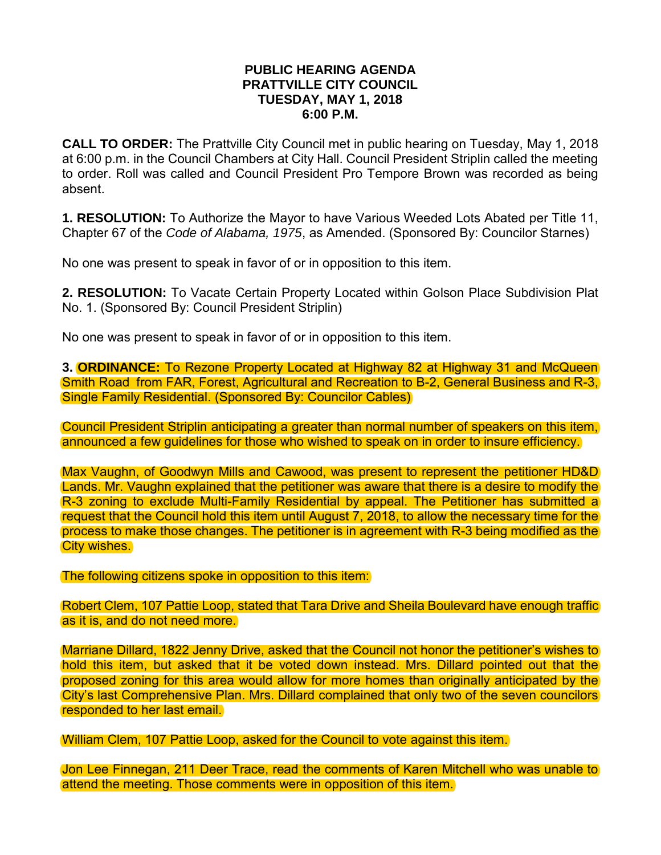## **PUBLIC HEARING AGENDA PRATTVILLE CITY COUNCIL TUESDAY, MAY 1, 2018 6:00 P.M.**

**CALL TO ORDER:** The Prattville City Council met in public hearing on Tuesday, May 1, 2018 at 6:00 p.m. in the Council Chambers at City Hall. Council President Striplin called the meeting to order. Roll was called and Council President Pro Tempore Brown was recorded as being absent.

**1. RESOLUTION:** To Authorize the Mayor to have Various Weeded Lots Abated per Title 11, Chapter 67 of the *Code of Alabama, 1975*, as Amended. (Sponsored By: Councilor Starnes)

No one was present to speak in favor of or in opposition to this item.

**2. RESOLUTION:** To Vacate Certain Property Located within Golson Place Subdivision Plat No. 1. (Sponsored By: Council President Striplin)

No one was present to speak in favor of or in opposition to this item.

**3. ORDINANCE:** To Rezone Property Located at Highway 82 at Highway 31 and McQueen Smith Road from FAR, Forest, Agricultural and Recreation to B-2, General Business and R-3, Single Family Residential. (Sponsored By: Councilor Cables)

Council President Striplin anticipating a greater than normal number of speakers on this item, announced a few guidelines for those who wished to speak on in order to insure efficiency.

Max Vaughn, of Goodwyn Mills and Cawood, was present to represent the petitioner HD&D Lands. Mr. Vaughn explained that the petitioner was aware that there is a desire to modify the R-3 zoning to exclude Multi-Family Residential by appeal. The Petitioner has submitted a request that the Council hold this item until August 7, 2018, to allow the necessary time for the process to make those changes. The petitioner is in agreement with R-3 being modified as the **City wishes.** 

The following citizens spoke in opposition to this item:

Robert Clem, 107 Pattie Loop, stated that Tara Drive and Sheila Boulevard have enough traffic as it is, and do not need more.

Marriane Dillard, 1822 Jenny Drive, asked that the Council not honor the petitioner's wishes to hold this item, but asked that it be voted down instead. Mrs. Dillard pointed out that the proposed zoning for this area would allow for more homes than originally anticipated by the City's last Comprehensive Plan. Mrs. Dillard complained that only two of the seven councilors responded to her last email.

William Clem, 107 Pattie Loop, asked for the Council to vote against this item.

Jon Lee Finnegan, 211 Deer Trace, read the comments of Karen Mitchell who was unable to attend the meeting. Those comments were in opposition of this item.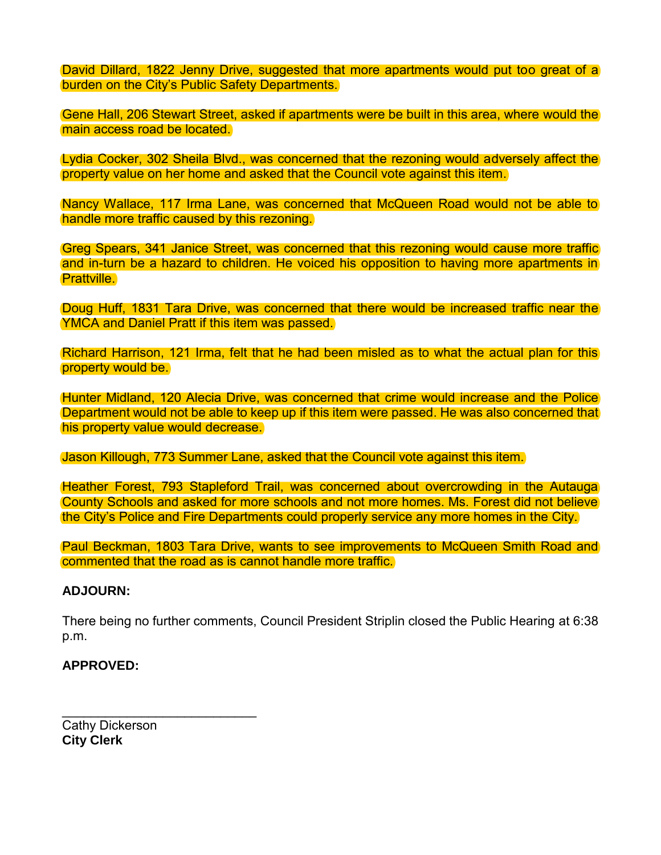David Dillard, 1822 Jenny Drive, suggested that more apartments would put too great of a burden on the City's Public Safety Departments.

Gene Hall, 206 Stewart Street, asked if apartments were be built in this area, where would the main access road be located.

Lydia Cocker, 302 Sheila Blvd., was concerned that the rezoning would adversely affect the property value on her home and asked that the Council vote against this item.

Nancy Wallace, 117 Irma Lane, was concerned that McQueen Road would not be able to handle more traffic caused by this rezoning.

Greg Spears, 341 Janice Street, was concerned that this rezoning would cause more traffic and in-turn be a hazard to children. He voiced his opposition to having more apartments in Prattville.

Doug Huff, 1831 Tara Drive, was concerned that there would be increased traffic near the YMCA and Daniel Pratt if this item was passed.

Richard Harrison, 121 Irma, felt that he had been misled as to what the actual plan for this property would be.

Hunter Midland, 120 Alecia Drive, was concerned that crime would increase and the Police Department would not be able to keep up if this item were passed. He was also concerned that his property value would decrease.

Jason Killough, 773 Summer Lane, asked that the Council vote against this item.

Heather Forest, 793 Stapleford Trail, was concerned about overcrowding in the Autauga County Schools and asked for more schools and not more homes. Ms. Forest did not believe the City's Police and Fire Departments could properly service any more homes in the City.

Paul Beckman, 1803 Tara Drive, wants to see improvements to McQueen Smith Road and commented that the road as is cannot handle more traffic.

## **ADJOURN:**

There being no further comments, Council President Striplin closed the Public Hearing at 6:38 p.m.

## **APPROVED:**

Cathy Dickerson **City Clerk** 

\_\_\_\_\_\_\_\_\_\_\_\_\_\_\_\_\_\_\_\_\_\_\_\_\_\_\_